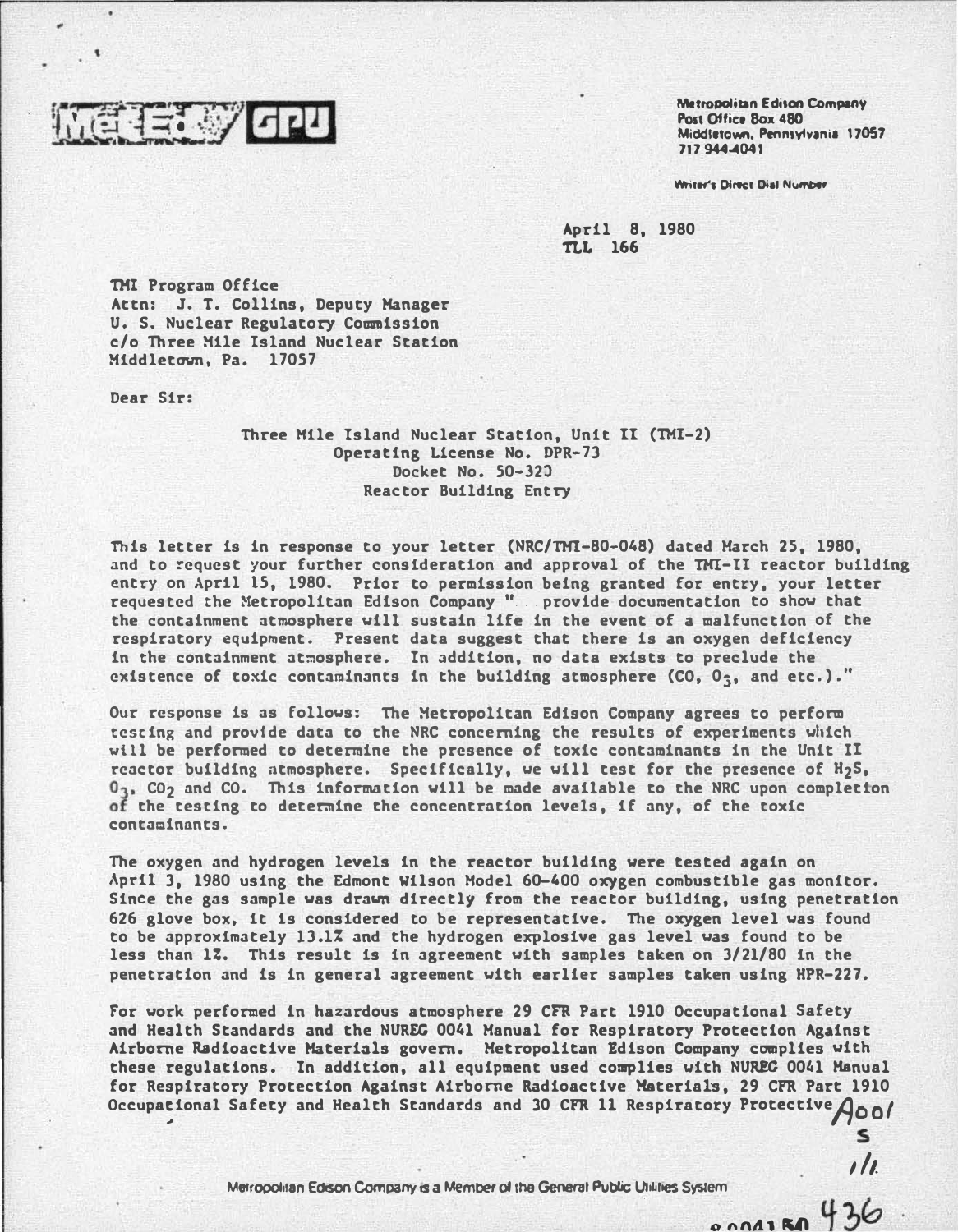

Metropolitan Edison Company Post Office Box 480 Middletown. Penntylvania 17057 717 944-4041

> s  $\prime\prime$

Writer's Direct Dial Number

April 8, 1980 TLL 166

THI Program Office Attn: J. T. Collins, Deputy Manager U. S. Nuclear Regulatory Commission c/o Three Mile Island Nuclear Station Middletown, Pa. 17057

Dear Sir:

Three Hile Island Nuclear Station, Unit II (TH!-2) Operating License No. DPR-73 Docket No. 50-32J Reactor Building Entry

This letter is in response to your letter (NRC/TH!-80-048) dated March 25, 1980, and to request your further consideration and approval of the TMI-II reactor building entry on April 15, 1980. Prior to permission being granted for entry, your letter requested the Metropolitan Edison Company " ... provide documentation to show that the containment atmosphere will sustain life in the event of a malfunction of the respiratory equipment. Present data suggest that there is an oxygen deficiency in the containment atmosphere. In addition, no data exists to preclude the existence of toxic contaminants in the building atmosphere  $(C0, 0, 0)$ , and etc.)."

Our response is as follows: The Metropolitan Edison Company agrees to perform testing and provide data to the NRC concerning the results of experiments which will be performed to determine the presence of toxic contaminants in the Unit II reactor building atmosphere. Specifically, we will test for the presence of H<sub>2</sub>S,  $0_3$ ,  $C_0$  and  $C_0$ . This information will be made available to the NRC upon completion of the testing to determine the concentration levels, if any, of the toxic contaminants.

The oxygen and hydrogen levels in the reactor building were tested again on April 3, 1980 using the Edmont Wilson Hodel 60-400 oxygen combustible gas monitor. Since the gas sample was drawn directly from the reactor building, using penetration 626 glove box, it is considered to be representative. The oxygen level was found to be approximately 13.1% and the hydrogen explosive gas level was found to be less than 17. This result is in agreement with samples taken on 3/21/80 in the penetration and is in general agreement with earlier samples taken using HPR-227.

For work performed in hazardous atmosphere 29 CFR Part 1910 Occupational Safety and Health Standards and the NUREG 0041 Manual· for Respiratory Protection Against Airborne Radioactive Materials govern. Metropolitan Edison Company complies with these regulations. In addition, all equipment used complies with NUREG 0041 Manual for Respiratory Protection Against Airborne Radioactive Materials, 29 CFR Part 1910 Occupational Safety and Health Standards and 30 CFR 11 Respiratory Protective $\rho_{00}$ 

> Metropolitan Edison Company is a Member of the General Public Utilities System  $8004180436$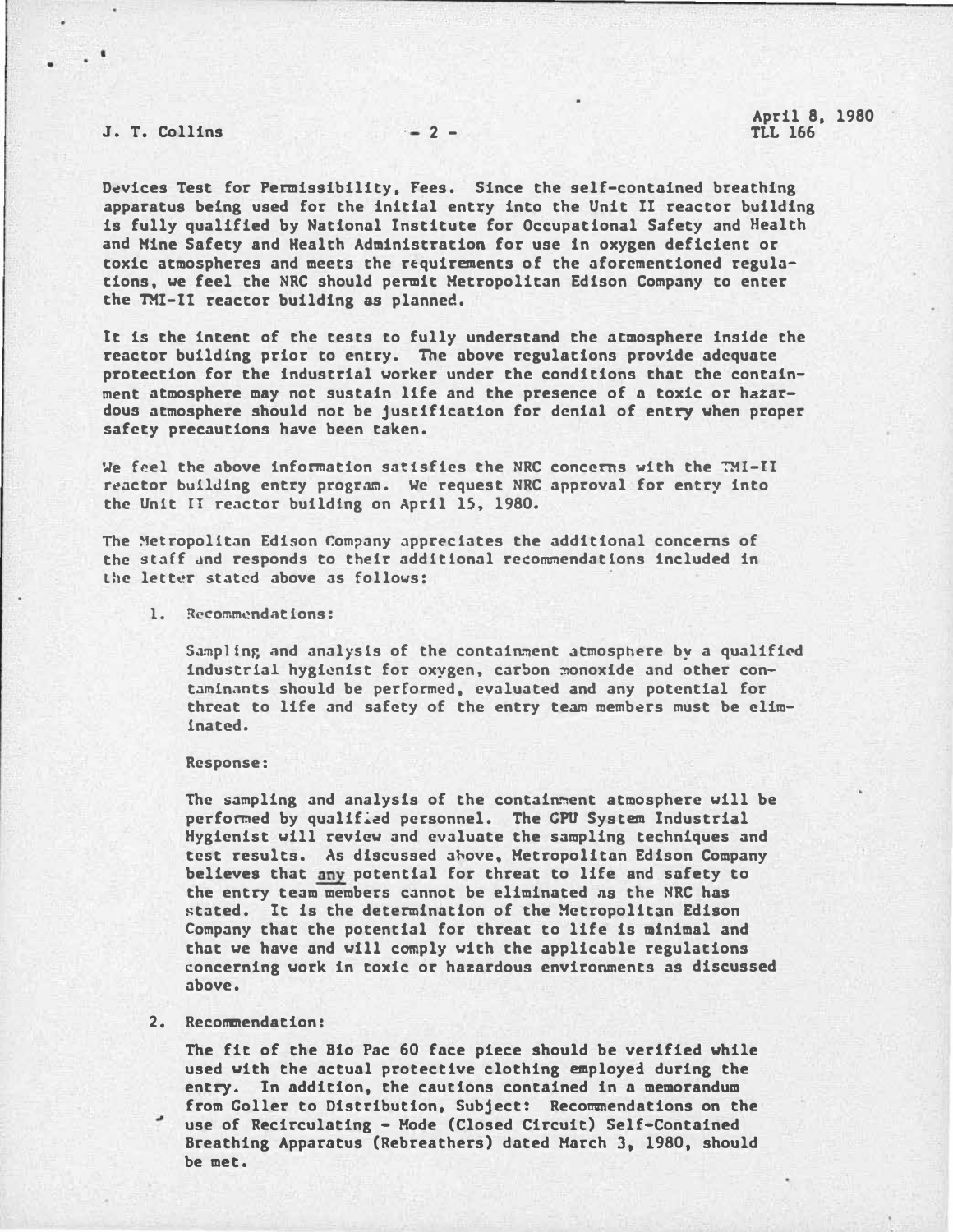# J. T. Collins  $-2-$

D�vices Test for Permissibility, Fees. Since the self-contained breathing apparatus being used for the initial entry into the Unit II reactor building is fully qualified by National Institute for Occupational Safety and Health and Hine Safety and Health Administration for use in oxygen deficient or toxic atmospheres and meets the r�quirements of the aforementioned regulations, we feel the NRC should permit Metropolitan Edison Company to enter the THI-ll reactor building as planned.

It is the intent of the tests to fully understand the atmosphere inside the reactor building prior to entry. The above regulations provide adequate protection for the industrial worker under the conditions that the containment atmosphere may not sustain life and the presence of a toxic or hazardous atmosphere should not be justification for denial of entry when proper safety precautions have been taken.

We feel the above information satisfies the NRC concerns with the TMI-II reactor building entry program. We request NRC approval for entry into the Unit II reactor building on April 15. 1980.

The Metropolitan Edison Company appreciates the additional concerns of the staff �nd responds to their additional recommendations included in the letter stated above as follows:

### 1. Recommendations:

Sampling and analysis of the containment atmosphere by a qualified industrial hygienist for oxygen. carbon �onoxide and other contaminants should be performed, evaluated and any potential for threat to life and safety of the entry team members must be eliminated.

#### Response:

The sampling and analysis of the containment atmosphere will be performed by qualified personnel. The GPU System Industrial Hygienist will review and evaluate the sampling techniques and test results. As discussed ahove, Metropolitan Edison Company believes that any potential for threat to life and safety to the entry team members cannot be eliminated ns the NRC has �tated. It is the determination of the Metropolitan Edison Company that the potential for threat to life is minimal and that we have and will comply with the applicable regulations concerning work in toxic or hazardous environments as discussed above.

### 2. Recommendation:

The fit of the Bio Pac 60 face piece should be verified while used with the actual protective clothing employed during the entry. In addition, the cautions contained in a memorandum from Coller to Distribution, Subject: Recommendations on the use of Recirculating - Mode (Closed Circuit) Self-Contained Breathing Apparatus (Rebreathers) dated March 3. 1980, should be met.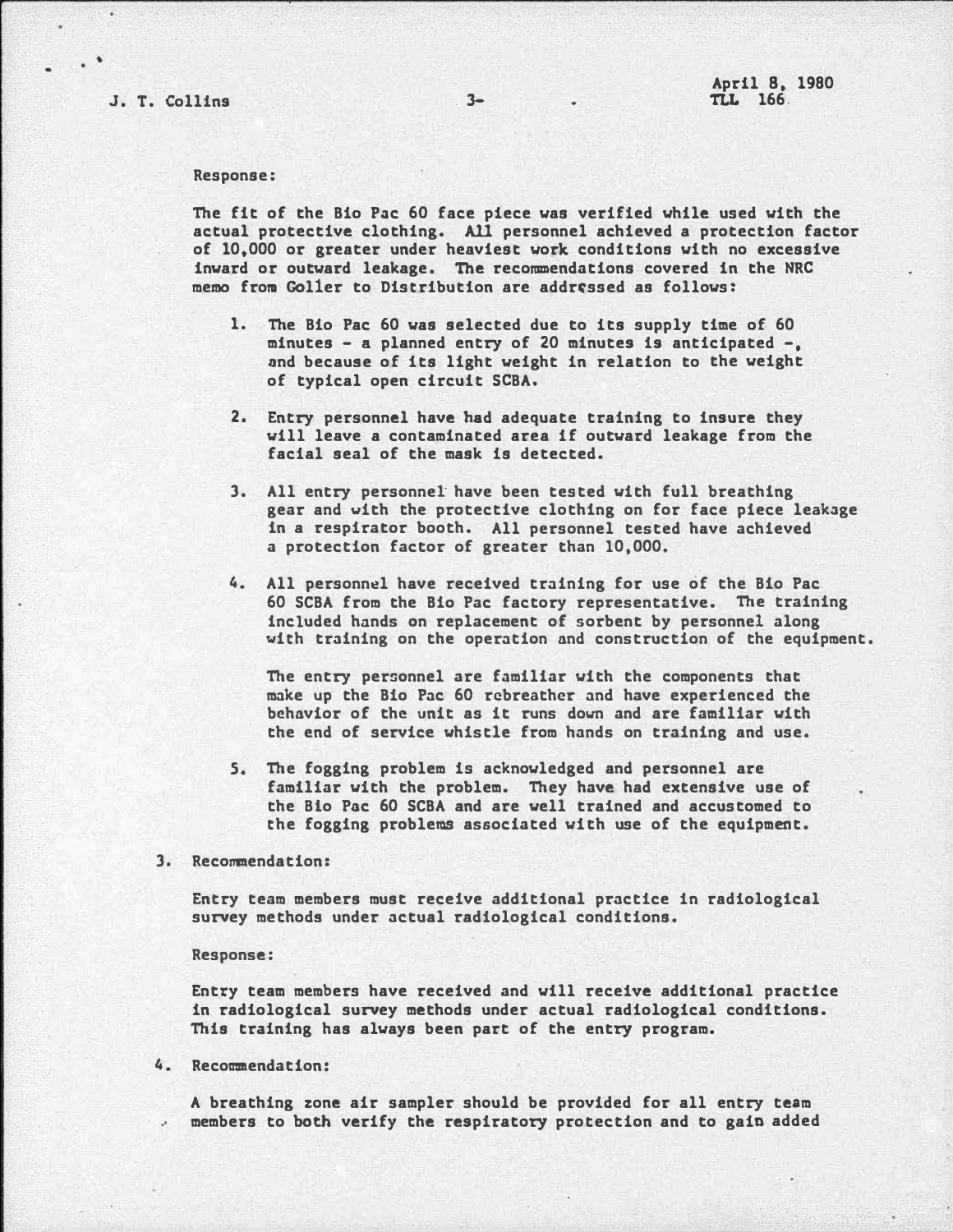, .

### Response:

The fit of the Bio Pac 60 face piece was verified while used with the actual protective clothing. All personnel achieved a protection factor of 10.000 or greater under heaviest work conditions with no excessive inward or outward leakage. The recommendations covered in the NRC memo from Goller to Distribution are addressed as follows:

- 1. The Bio Pac 60 was selected due to its supply time of 60 minutes - a planned entry of 20 minutes is anticipated -. and because of its light weight in relation to the weight of typical open circuit SCBA.
- 2. Entry personnel have bad adequate training to insure they will leave a contaminated area if outward leakage from the facial seal of the mask is detected.
- 3. All entry personnel have been tested with full breathing gear and with the protective clothing on for face piece leakage in a respirator booth. All personnel tested have achieved a protection factor of greater than 10.000.
- 4. All personnel have received training for use of the Bio Pac 60 SCBA from the Bio Pac factory representative. The training included hands on replacement of sorbent by personnel along vith training on the operation and construction of the equipment.

The entry personnel are familiar with the components that make up the Bio Pac 60 rcbreather and have experienced the behavior of the unit as it runs down and are familiar with the end of service whistle from hands on training and use.

5. The fogging problem is acknowledged and personnel are familiar with the problem. They have had extensive use of the Bio Pac 60 SCBA and are well trained and accustomed to the fogging problems associated with use of the equipment.

3. Recommendation:

Entry team members must receive additional practice in radiological survey methods under actual radiological conditions.

Response:

Entry team members have received and will receive additional practice in radiological survey methods under actual radiological conditions. This training has always been part of the entry program.

# 4. Recommendation:

A breathing zone air sampler should be provided for all entry team members to both verify the respiratory protection and to gain added

r------------------------------------------------------------------------------------------·---�--�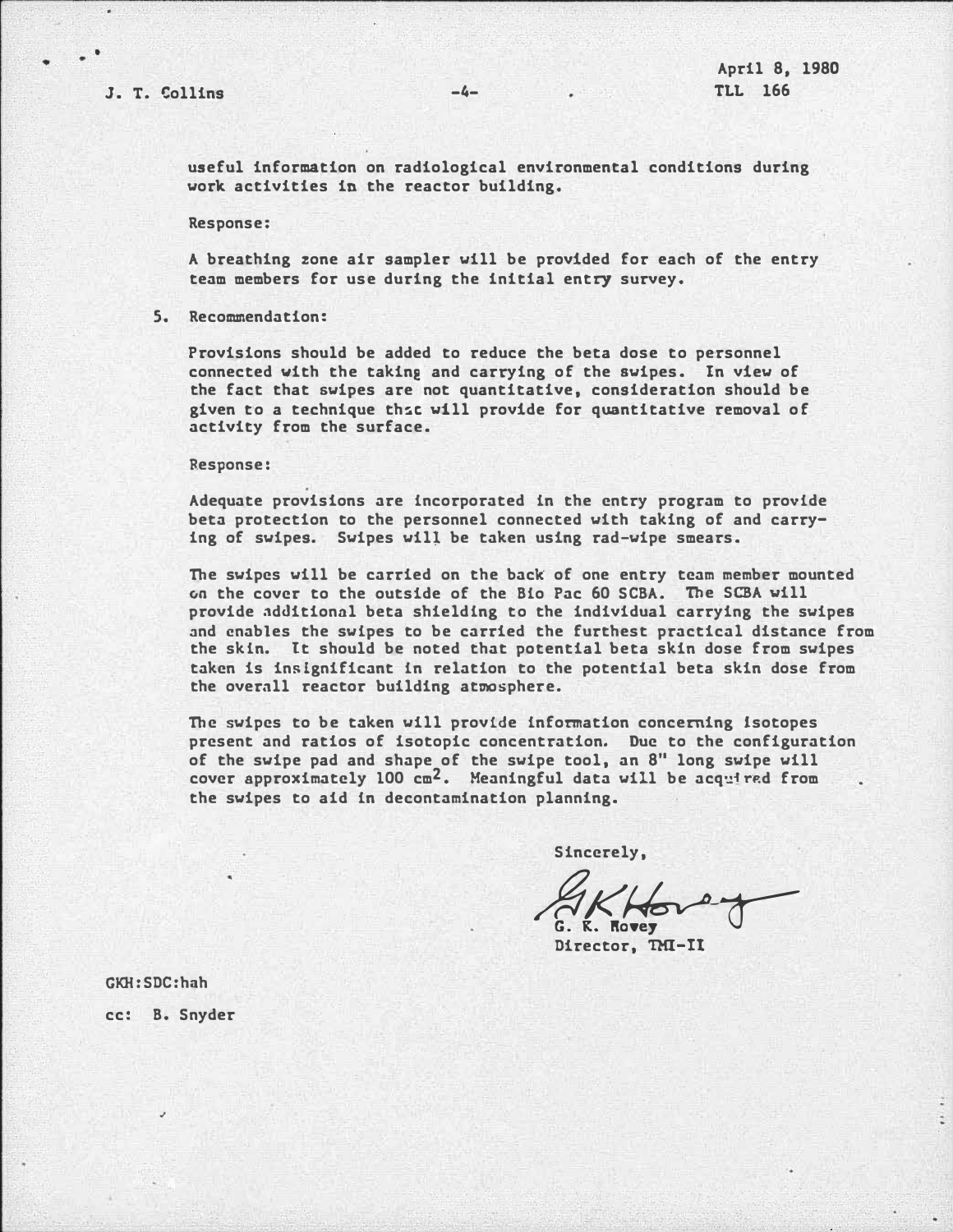---------

useful information on radiological environmental conditions during work activities in the reactor building.

Response:

A breathing zone air sampler will be provided for each of the entry team members for use during the initial entry survey.

5. Recommendation:

Provisions should be added to reduce the beta dose to personnel connected with the taking and carrying of the swipes. In view of the fact that swipes are not quantitative, consideration should be given to a technique th�c vill provide for quantitative removal of activity from the surface.

Response:

Adequate provisions are incorporated in the entry program to provide beta protection to the personnel connected with taking of and carrying of swipes. Swipes will be taken using rad-wipe smears.

The swipes will be carried on the back of one entry team member mounted on the cover to the outside of the Bio Pac 60 SCBA. The SCBA vill provide additional beta shielding to the individual carrying the swipes and enables the swipes to be carried the furthest practical distance from the skin. It should be noted that potential beta skin dose from swipes taken is insignificant in relation to the potential beta skin dose from the overall reactor building atmosphere.

The swipes to be taken will provide information concerning isotopes present and ratios of isotopic concentration. Due to the configuration of the swipe pad and shape of the swipe tool, an 8" long swipe will cover approximately 100  $cm^2$ . Meaningful data will be acquired from the swipes to aid in decontamination planning.

Sincerely,

EKHover

Director, THI-It

GKH:SDC:hnh

cc: B. Snyder

..

.\_\_\_ \_\_\_\_\_\_\_\_\_\_\_\_\_\_\_\_\_\_\_\_\_\_\_\_ - -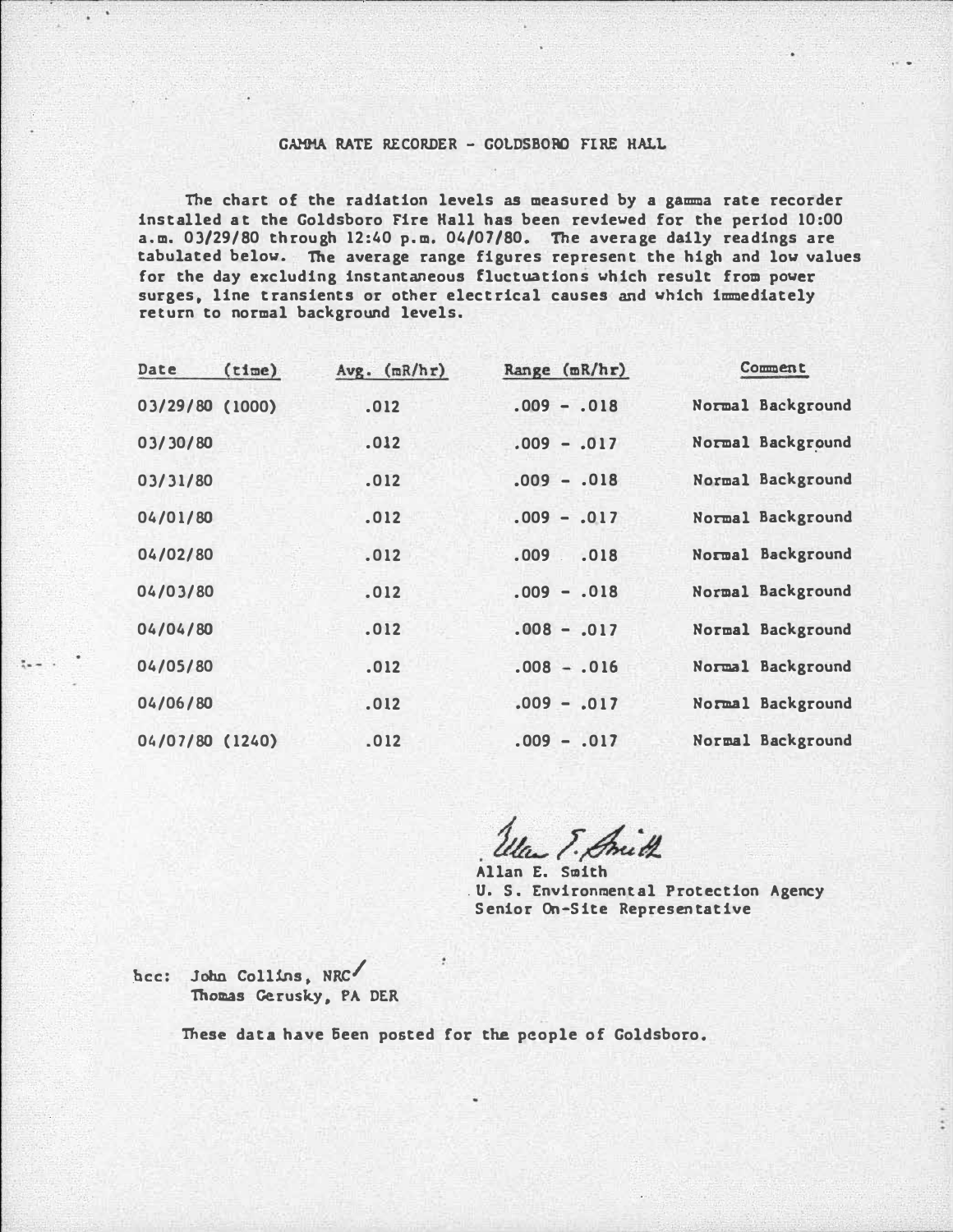# GAMMA RATE RECORDER - GOLDSBORO FIRE HALL

The chart of the radiation levels as measured by a gamma rate recorder installed at the Goldsboro Fire Hall has been reviewed for the period 10:00 a.m. 03/29/80 through 12:40 p.m. 04/07/80. The average daily readings are tabulated below. The average range figures represent the high and low values for the day excluding instantaneous fluctuations which result from power surges, line transients or other electrical causes and which immediately return to normal background levels.

- --·--· ------.- --- --------------------------------

| Date            | (time) | $Avg.$ $(mR/hr)$ | Range $(mR/hr)$ | Comment           |
|-----------------|--------|------------------|-----------------|-------------------|
| 03/29/80 (1000) |        | .012             | $.009 - .018$   | Normal Background |
| 03/30/80        |        | .012             | $.009 - .017$   | Normal Background |
| 03/31/80        |        | .012             | $.009 - .018$   | Normal Background |
| 04/01/80        |        | .012             | $.009 - .017$   | Normal Background |
| 04/02/80        |        | .012             | .009<br>.018    | Normal Background |
| 04/03/80        |        | .012             | $.009 - .018$   | Normal Background |
| 04/04/80        |        | .012             | $.008 - .017$   | Normal Background |
| 04/05/80        |        | .012             | $.008 - .016$   | Normal Background |
| 04/06/80        |        | .012             | $.009 - .017$   | Normal Background |
| 04/07/80 (1240) |        | .012             | $.009 - .017$   | Normal Background |

la E. Smith

Allan E. Smith . U. S. Environmental Protection Agency Senior On-Site Representative

.bee: Jobn Collins, NRC/ Thomas Gerusky, PA DER

 $\lambda = 1$ 

These data have Seen posted for the people of Goldsboro.